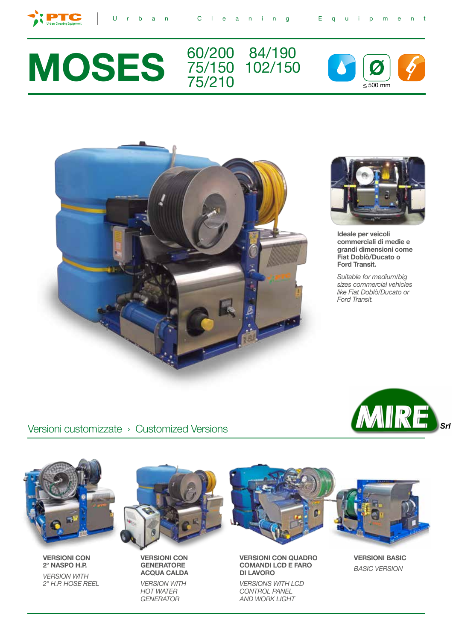

 $MOSES$ 

75/150 75/210 84/190 102/150







**Ideale per veicoli commerciali di medie e grandi dimensioni come Fiat Doblò/Ducato o Ford Transit.**

*Suitable for medium/big sizes commercial vehicles like Fiat Doblò/Ducato or Ford Transit.*



Versioni customizzate › Customized Versions



**VERSIONI CON 2° NASPO H.P.** *VERSION WITH 2° H.P. HOSE REEL*



**VERSIONI CON GENERATORE ACQUA CALDA**

*VERSION WITH HOT WATER GENERATOR*



**VERSIONI CON QUADRO COMANDI LCD E FARO DI LAVORO**

*VERSIONS WITH LCD CONTROL PANEL AND WORK LIGHT*



**VERSIONI BASIC** *BASIC VERSION*